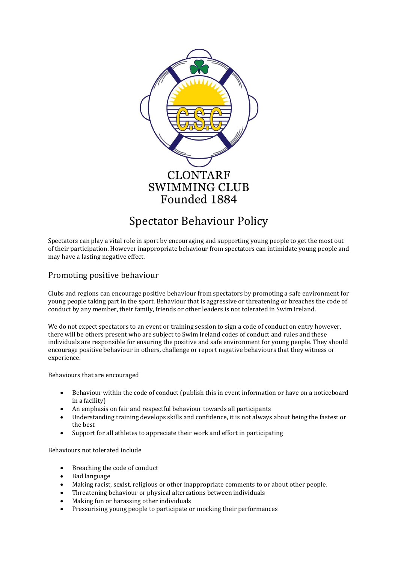

# Spectator Behaviour Policy

Spectators can play a vital role in sport by encouraging and supporting young people to get the most out of their participation. However inappropriate behaviour from spectators can intimidate young people and may have a lasting negative effect.

# Promoting positive behaviour

Clubs and regions can encourage positive behaviour from spectators by promoting a safe environment for young people taking part in the sport. Behaviour that is aggressive or threatening or breaches the code of conduct by any member, their family, friends or other leaders is not tolerated in Swim Ireland.

We do not expect spectators to an event or training session to sign a code of conduct on entry however, there will be others present who are subject to Swim Ireland codes of conduct and rules and these individuals are responsible for ensuring the positive and safe environment for young people. They should encourage positive behaviour in others, challenge or report negative behaviours that they witness or experience.

Behaviours that are encouraged

- Behaviour within the code of conduct (publish this in event information or have on a noticeboard in a facility)
- An emphasis on fair and respectful behaviour towards all participants
- Understanding training develops skills and confidence, it is not always about being the fastest or the best
- Support for all athletes to appreciate their work and effort in participating

Behaviours not tolerated include

- Breaching the code of conduct
- Bad language
- Making racist, sexist, religious or other inappropriate comments to or about other people.
- Threatening behaviour or physical altercations between individuals
- Making fun or harassing other individuals
- Pressurising young people to participate or mocking their performances